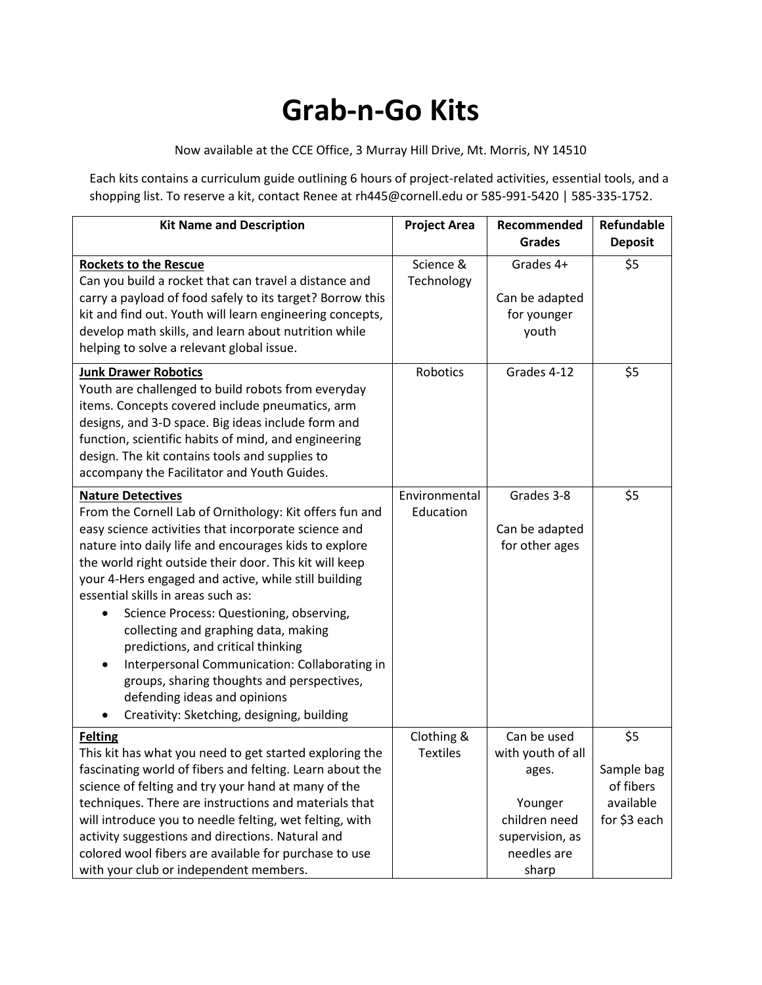## **Grab-n-Go Kits**

Now available at the CCE Office, 3 Murray Hill Drive, Mt. Morris, NY 14510

Each kits contains a curriculum guide outlining 6 hours of project-related activities, essential tools, and a shopping list. To reserve a kit, contact Renee at rh445@cornell.edu or 585-991-5420 | 585-335-1752.

| <b>Kit Name and Description</b>                                                                                                                                                                                                                                                                                                                                                                                                                                                                                                                                                                                                                                          | <b>Project Area</b>           | Recommended<br><b>Grades</b>                                                                                     | Refundable<br><b>Deposit</b>                                |
|--------------------------------------------------------------------------------------------------------------------------------------------------------------------------------------------------------------------------------------------------------------------------------------------------------------------------------------------------------------------------------------------------------------------------------------------------------------------------------------------------------------------------------------------------------------------------------------------------------------------------------------------------------------------------|-------------------------------|------------------------------------------------------------------------------------------------------------------|-------------------------------------------------------------|
| <b>Rockets to the Rescue</b><br>Can you build a rocket that can travel a distance and<br>carry a payload of food safely to its target? Borrow this<br>kit and find out. Youth will learn engineering concepts,<br>develop math skills, and learn about nutrition while<br>helping to solve a relevant global issue.                                                                                                                                                                                                                                                                                                                                                      | Science &<br>Technology       | Grades 4+<br>Can be adapted<br>for younger<br>youth                                                              | \$5                                                         |
| <b>Junk Drawer Robotics</b><br>Youth are challenged to build robots from everyday<br>items. Concepts covered include pneumatics, arm<br>designs, and 3-D space. Big ideas include form and<br>function, scientific habits of mind, and engineering<br>design. The kit contains tools and supplies to<br>accompany the Facilitator and Youth Guides.                                                                                                                                                                                                                                                                                                                      | Robotics                      | Grades 4-12                                                                                                      | \$5                                                         |
| <b>Nature Detectives</b><br>From the Cornell Lab of Ornithology: Kit offers fun and<br>easy science activities that incorporate science and<br>nature into daily life and encourages kids to explore<br>the world right outside their door. This kit will keep<br>your 4-Hers engaged and active, while still building<br>essential skills in areas such as:<br>Science Process: Questioning, observing,<br>collecting and graphing data, making<br>predictions, and critical thinking<br>Interpersonal Communication: Collaborating in<br>٠<br>groups, sharing thoughts and perspectives,<br>defending ideas and opinions<br>Creativity: Sketching, designing, building | Environmental<br>Education    | Grades 3-8<br>Can be adapted<br>for other ages                                                                   | \$5                                                         |
| <b>Felting</b><br>This kit has what you need to get started exploring the<br>fascinating world of fibers and felting. Learn about the<br>science of felting and try your hand at many of the<br>techniques. There are instructions and materials that<br>will introduce you to needle felting, wet felting, with<br>activity suggestions and directions. Natural and<br>colored wool fibers are available for purchase to use<br>with your club or independent members.                                                                                                                                                                                                  | Clothing &<br><b>Textiles</b> | Can be used<br>with youth of all<br>ages.<br>Younger<br>children need<br>supervision, as<br>needles are<br>sharp | \$5<br>Sample bag<br>of fibers<br>available<br>for \$3 each |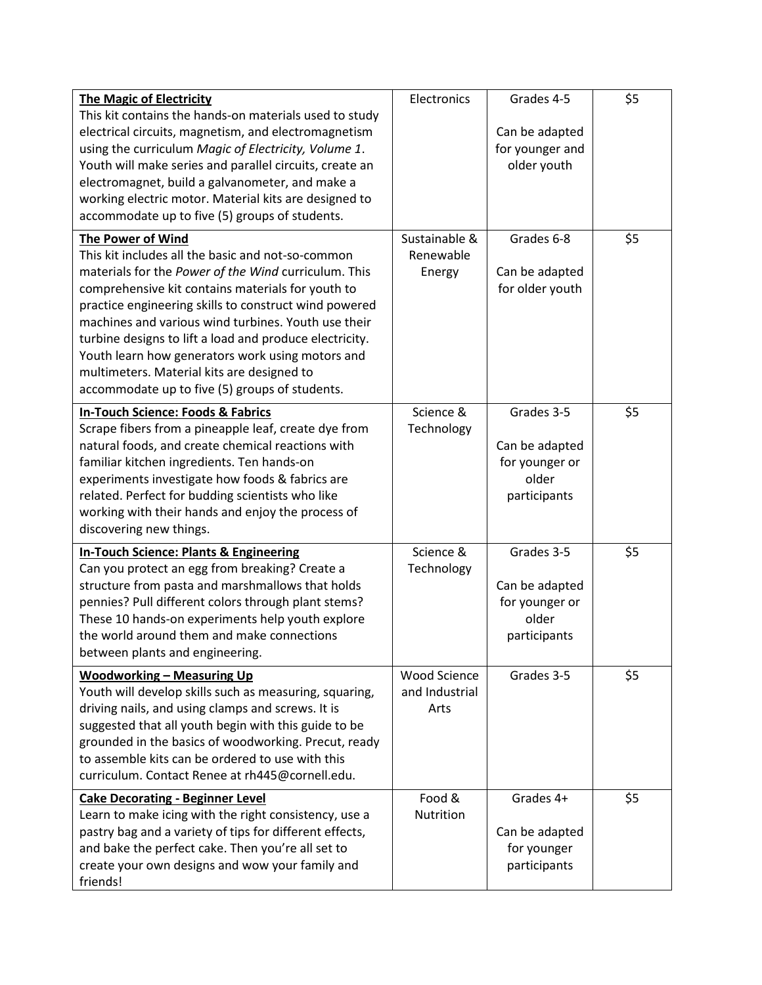| <b>The Magic of Electricity</b>                         | Electronics         | Grades 4-5      | \$5 |
|---------------------------------------------------------|---------------------|-----------------|-----|
| This kit contains the hands-on materials used to study  |                     |                 |     |
| electrical circuits, magnetism, and electromagnetism    |                     | Can be adapted  |     |
| using the curriculum Magic of Electricity, Volume 1.    |                     | for younger and |     |
| Youth will make series and parallel circuits, create an |                     | older youth     |     |
| electromagnet, build a galvanometer, and make a         |                     |                 |     |
| working electric motor. Material kits are designed to   |                     |                 |     |
| accommodate up to five (5) groups of students.          |                     |                 |     |
| The Power of Wind                                       | Sustainable &       | Grades 6-8      | \$5 |
| This kit includes all the basic and not-so-common       | Renewable           |                 |     |
| materials for the Power of the Wind curriculum. This    | Energy              | Can be adapted  |     |
|                                                         |                     |                 |     |
| comprehensive kit contains materials for youth to       |                     | for older youth |     |
| practice engineering skills to construct wind powered   |                     |                 |     |
| machines and various wind turbines. Youth use their     |                     |                 |     |
| turbine designs to lift a load and produce electricity. |                     |                 |     |
| Youth learn how generators work using motors and        |                     |                 |     |
| multimeters. Material kits are designed to              |                     |                 |     |
| accommodate up to five (5) groups of students.          |                     |                 |     |
| <b>In-Touch Science: Foods &amp; Fabrics</b>            | Science &           | Grades 3-5      | \$5 |
| Scrape fibers from a pineapple leaf, create dye from    | Technology          |                 |     |
| natural foods, and create chemical reactions with       |                     | Can be adapted  |     |
| familiar kitchen ingredients. Ten hands-on              |                     | for younger or  |     |
| experiments investigate how foods & fabrics are         |                     | older           |     |
| related. Perfect for budding scientists who like        |                     | participants    |     |
| working with their hands and enjoy the process of       |                     |                 |     |
| discovering new things.                                 |                     |                 |     |
|                                                         |                     |                 |     |
| <b>In-Touch Science: Plants &amp; Engineering</b>       | Science &           | Grades 3-5      | \$5 |
| Can you protect an egg from breaking? Create a          | Technology          |                 |     |
| structure from pasta and marshmallows that holds        |                     | Can be adapted  |     |
| pennies? Pull different colors through plant stems?     |                     | for younger or  |     |
| These 10 hands-on experiments help youth explore        |                     | older           |     |
| the world around them and make connections              |                     | participants    |     |
| between plants and engineering.                         |                     |                 |     |
| <b>Woodworking - Measuring Up</b>                       | <b>Wood Science</b> | Grades 3-5      | \$5 |
| Youth will develop skills such as measuring, squaring,  | and Industrial      |                 |     |
| driving nails, and using clamps and screws. It is       | Arts                |                 |     |
| suggested that all youth begin with this guide to be    |                     |                 |     |
| grounded in the basics of woodworking. Precut, ready    |                     |                 |     |
| to assemble kits can be ordered to use with this        |                     |                 |     |
| curriculum. Contact Renee at rh445@cornell.edu.         |                     |                 |     |
|                                                         |                     |                 |     |
| <b>Cake Decorating - Beginner Level</b>                 | Food &              | Grades 4+       | \$5 |
| Learn to make icing with the right consistency, use a   | Nutrition           |                 |     |
| pastry bag and a variety of tips for different effects, |                     | Can be adapted  |     |
| and bake the perfect cake. Then you're all set to       |                     | for younger     |     |
| create your own designs and wow your family and         |                     | participants    |     |
| friends!                                                |                     |                 |     |